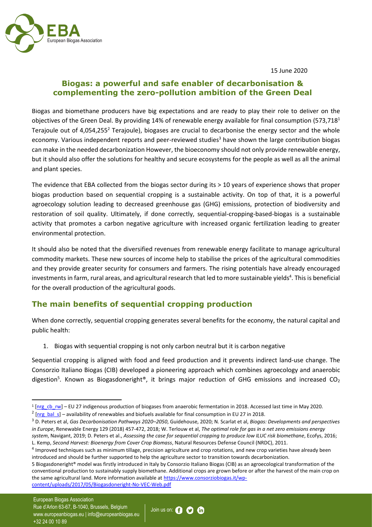

15 June 2020

### **Biogas: a powerful and safe enabler of decarbonisation & complementing the zero-pollution ambition of the Green Deal**

Biogas and biomethane producers have big expectations and are ready to play their role to deliver on the objectives of the Green Deal. By providing 14% of renewable energy available for final consumption (573,718<sup>1</sup>) Terajoule out of 4,054,255<sup>2</sup> Terajoule), biogases are crucial to decarbonise the energy sector and the whole economy. Various independent reports and peer-reviewed studies<sup>3</sup> have shown the large contribution biogas can make in the needed decarbonization However, the bioeconomy should not only provide renewable energy, but it should also offer the solutions for healthy and secure ecosystems for the people as well as all the animal and plant species.

The evidence that EBA collected from the biogas sector during its > 10 years of experience shows that proper biogas production based on sequential cropping is a sustainable activity. On top of that, it is a powerful agroecology solution leading to decreased greenhouse gas (GHG) emissions, protection of biodiversity and restoration of soil quality. Ultimately, if done correctly, sequential-cropping-based-biogas is a sustainable activity that promotes a carbon negative agriculture with increased organic fertilization leading to greater environmental protection.

It should also be noted that the diversified revenues from renewable energy facilitate to manage agricultural commodity markets. These new sources of income help to stabilise the prices of the agricultural commodities and they provide greater security for consumers and farmers. The rising potentials have already encouraged investments in farm, rural areas, and agricultural research that led to more sustainable yields<sup>4</sup>. This is beneficial for the overall production of the agricultural goods.

## **The main benefits of sequential cropping production**

When done correctly, sequential cropping generates several benefits for the economy, the natural capital and public health:

1. Biogas with sequential cropping is not only carbon neutral but it is carbon negative

Sequential cropping is aligned with food and feed production and it prevents indirect land-use change. The Consorzio Italiano Biogas (CIB) developed a pioneering approach which combines agroecology and anaerobic digestion<sup>5</sup>. Known as Biogasdoneright®, it brings major reduction of GHG emissions and increased CO<sub>2</sub>

 $2 \text{ [nrg bal s]}$  – availability of renewables and biofuels available for final consumption in EU 27 in 2018.



<sup>&</sup>lt;sup>1</sup> [\[nrg\\_cb\\_rw\]](https://appsso.eurostat.ec.europa.eu/nui/show.do?dataset=nrg_cb_rw&lang=en) – EU 27 indigenous production of biogases from anaerobic fermentation in 2018. Accessed last time in May 2020.

<sup>3</sup> D. Peters et al, *Gas Decarbonisation Pathways 2020–2050*, Guidehouse, 2020; N. Scarlat et al, *Biogas: Developments and perspectives in Europe*, Renewable Energy 129 (2018) 457-472, 2018; W. Terlouw et al, *The optimal role for gas in a net zero emissions energy system*, Navigant, 2019; D. Peters et al., *Assessing the case for sequential cropping to produce low ILUC risk biomethane*, Ecofys, 2016;

L. Kemp, *Second Harvest: Bioenergy from Cover Crop Biomass*, Natural Resources Defense Council (NRDC), 2011.

<sup>&</sup>lt;sup>4</sup> Improved techniques such as minimum tillage, precision agriculture and crop rotations, and new crop varieties have already been introduced and should be further supported to help the agriculture sector to transition towards decarbonization.

<sup>5</sup> Biogasdoneright® model was firstly introduced in Italy by Consorzio Italiano Biogas (CIB) as an agroecological transformation of the conventional production to sustainably supply biomethane. Additional crops are grown before or after the harvest of the main crop on the same agricultural land. More information available at [https://www.consorziobiogas.it/wp](https://www.consorziobiogas.it/wp-content/uploads/2017/05/Biogasdoneright-No-VEC-Web.pdf)[content/uploads/2017/05/Biogasdoneright-No-VEC-Web.pdf](https://www.consorziobiogas.it/wp-content/uploads/2017/05/Biogasdoneright-No-VEC-Web.pdf)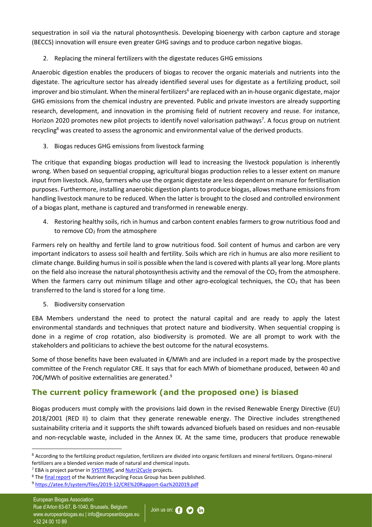sequestration in soil via the natural photosynthesis. Developing bioenergy with carbon capture and storage (BECCS) innovation will ensure even greater GHG savings and to produce carbon negative biogas.

2. Replacing the mineral fertilizers with the digestate reduces GHG emissions

Anaerobic digestion enables the producers of biogas to recover the organic materials and nutrients into the digestate. The agriculture sector has already identified several uses for digestate as a fertilizing product, soil improver and bio stimulant. When the mineral fertilizers<sup>6</sup> are replaced with an in-house organic digestate, major GHG emissions from the chemical industry are prevented. Public and private investors are already supporting research, development, and innovation in the promising field of nutrient recovery and reuse. For instance, Horizon 2020 promotes new pilot projects to identify novel valorisation pathways<sup>7</sup>. A focus group on nutrient recycling<sup>8</sup> was created to assess the agronomic and environmental value of the derived products.

3. Biogas reduces GHG emissions from livestock farming

The critique that expanding biogas production will lead to increasing the livestock population is inherently wrong. When based on sequential cropping, agricultural biogas production relies to a lesser extent on manure input from livestock. Also, farmers who use the organic digestate are less dependent on manure for fertilisation purposes. Furthermore, installing anaerobic digestion plants to produce biogas, allows methane emissions from handling livestock manure to be reduced. When the latter is brought to the closed and controlled environment of a biogas plant, methane is captured and transformed in renewable energy.

4. Restoring healthy soils, rich in humus and carbon content enables farmers to grow nutritious food and to remove  $CO<sub>2</sub>$  from the atmosphere

Farmers rely on healthy and fertile land to grow nutritious food. Soil content of humus and carbon are very important indicators to assess soil health and fertility. Soils which are rich in humus are also more resilient to climate change. Building humus in soil is possible when the land is covered with plants all year long. More plants on the field also increase the natural photosynthesis activity and the removal of the  $CO<sub>2</sub>$  from the atmosphere. When the farmers carry out minimum tillage and other agro-ecological techniques, the  $CO<sub>2</sub>$  that has been transferred to the land is stored for a long time.

5. Biodiversity conservation

EBA Members understand the need to protect the natural capital and are ready to apply the latest environmental standards and techniques that protect nature and biodiversity. When sequential cropping is done in a regime of crop rotation, also biodiversity is promoted. We are all prompt to work with the stakeholders and politicians to achieve the best outcome for the natural ecosystems.

Some of those benefits have been evaluated in €/MWh and are included in a report made by the prospective committee of the French regulator CRE. It says that for each MWh of biomethane produced, between 40 and 70€/MWh of positive externalities are generated.<sup>9</sup>

# **The current policy framework (and the proposed one) is biased**

Biogas producers must comply with the provisions laid down in the revised Renewable Energy Directive (EU) 2018/2001 (RED II) to claim that they generate renewable energy. The Directive includes strengthened sustainability criteria and it supports the shift towards advanced biofuels based on residues and non-reusable and non-recyclable waste, included in the Annex IX. At the same time, producers that produce renewable



 $6$  According to the fertilizing product regulation, fertilizers are divided into organic fertilizers and mineral fertilizers. Organo-mineral fertilizers are a blended version made of natural and chemical inputs.

<sup>&</sup>lt;sup>7</sup> EBA is project partner in **SYSTEMIC** and **Nutri2Cycle** projects.

<sup>&</sup>lt;sup>8</sup> The *[final report](https://ec.europa.eu/eip/agriculture/en/publications/eip-agri-focus-group-nutrient-recycling-final)* of the Nutrient Recycling Focus Group has been published.

<sup>9</sup> <https://atee.fr/system/files/2019-12/CRE%20Rapport-Gaz%202019.pdf>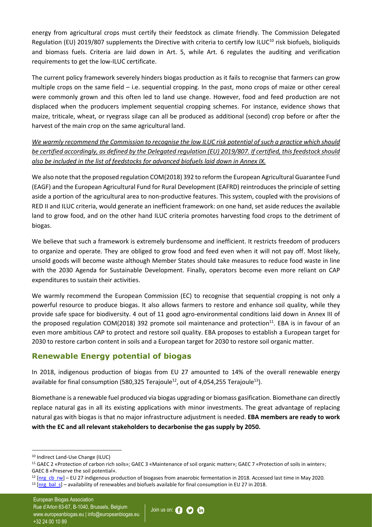energy from agricultural crops must certify their feedstock as climate friendly. The Commission Delegated Regulation (EU) 2019/807 supplements the Directive with criteria to certify low ILUC<sup>10</sup> risk biofuels, bioliquids and biomass fuels. Criteria are laid down in Art. 5, while Art. 6 regulates the auditing and verification requirements to get the low-ILUC certificate.

The current policy framework severely hinders biogas production as it fails to recognise that farmers can grow multiple crops on the same field – i.e. sequential cropping. In the past, mono crops of maize or other cereal were commonly grown and this often led to land use change. However, food and feed production are not displaced when the producers implement sequential cropping schemes. For instance, evidence shows that maize, triticale, wheat, or ryegrass silage can all be produced as additional (second) crop before or after the harvest of the main crop on the same agricultural land.

*We warmly recommend the Commission to recognise the low ILUC risk potential of such a practice which should be certified accordingly, as defined by the Delegated regulation (EU) 2019/807. If certified, this feedstock should also be included in the list of feedstocks for advanced biofuels laid down in Annex IX.*

We also note that the proposed regulation COM(2018) 392 to reform the European Agricultural Guarantee Fund (EAGF) and the European Agricultural Fund for Rural Development (EAFRD) reintroduces the principle of setting aside a portion of the agricultural area to non-productive features. This system, coupled with the provisions of RED II and ILUC criteria, would generate an inefficient framework: on one hand, set aside reduces the available land to grow food, and on the other hand ILUC criteria promotes harvesting food crops to the detriment of biogas.

We believe that such a framework is extremely burdensome and inefficient. It restricts freedom of producers to organize and operate. They are obliged to grow food and feed even when it will not pay off. Most likely, unsold goods will become waste although Member States should take measures to reduce food waste in line with the 2030 Agenda for Sustainable Development. Finally, operators become even more reliant on CAP expenditures to sustain their activities.

We warmly recommend the European Commission (EC) to recognise that sequential cropping is not only a powerful resource to produce biogas. It also allows farmers to restore and enhance soil quality, while they provide safe space for biodiversity. 4 out of 11 good agro-environmental conditions laid down in Annex III of the proposed regulation COM(2018) 392 promote soil maintenance and protection<sup>11</sup>. EBA is in favour of an even more ambitious CAP to protect and restore soil quality. EBA proposes to establish a European target for 2030 to restore carbon content in soils and a European target for 2030 to restore soil organic matter.

### **Renewable Energy potential of biogas**

In 2018, indigenous production of biogas from EU 27 amounted to 14% of the overall renewable energy available for final consumption (580,325 Terajoule<sup>12</sup>, out of 4,054,255 Terajoule<sup>13</sup>).

Biomethane is a renewable fuel produced via biogas upgrading or biomass gasification. Biomethane can directly replace natural gas in all its existing applications with minor investments. The great advantage of replacing natural gas with biogas is that no major infrastructure adjustment is needed. **EBA members are ready to work with the EC and all relevant stakeholders to decarbonise the gas supply by 2050.**



<sup>10</sup> Indirect Land-Use Change (ILUC)

<sup>11</sup> GAEC 2 «Protection of carbon rich soils»; GAEC 3 «Maintenance of soil organic matter»; GAEC 7 «Protection of soils in winter»; GAEC 8 «Preserve the soil potential».

 $12$  [\[nrg\\_cb\\_rw\]](https://appsso.eurostat.ec.europa.eu/nui/show.do?dataset=nrg_cb_rw&lang=en) – EU 27 indigenous production of biogases from anaerobic fermentation in 2018. Accessed last time in May 2020.

<sup>&</sup>lt;sup>13</sup> [\[nrg\\_bal\\_s\]](https://appsso.eurostat.ec.europa.eu/nui/show.do?dataset=nrg_bal_s&lang=en) – availability of renewables and biofuels available for final consumption in EU 27 in 2018.